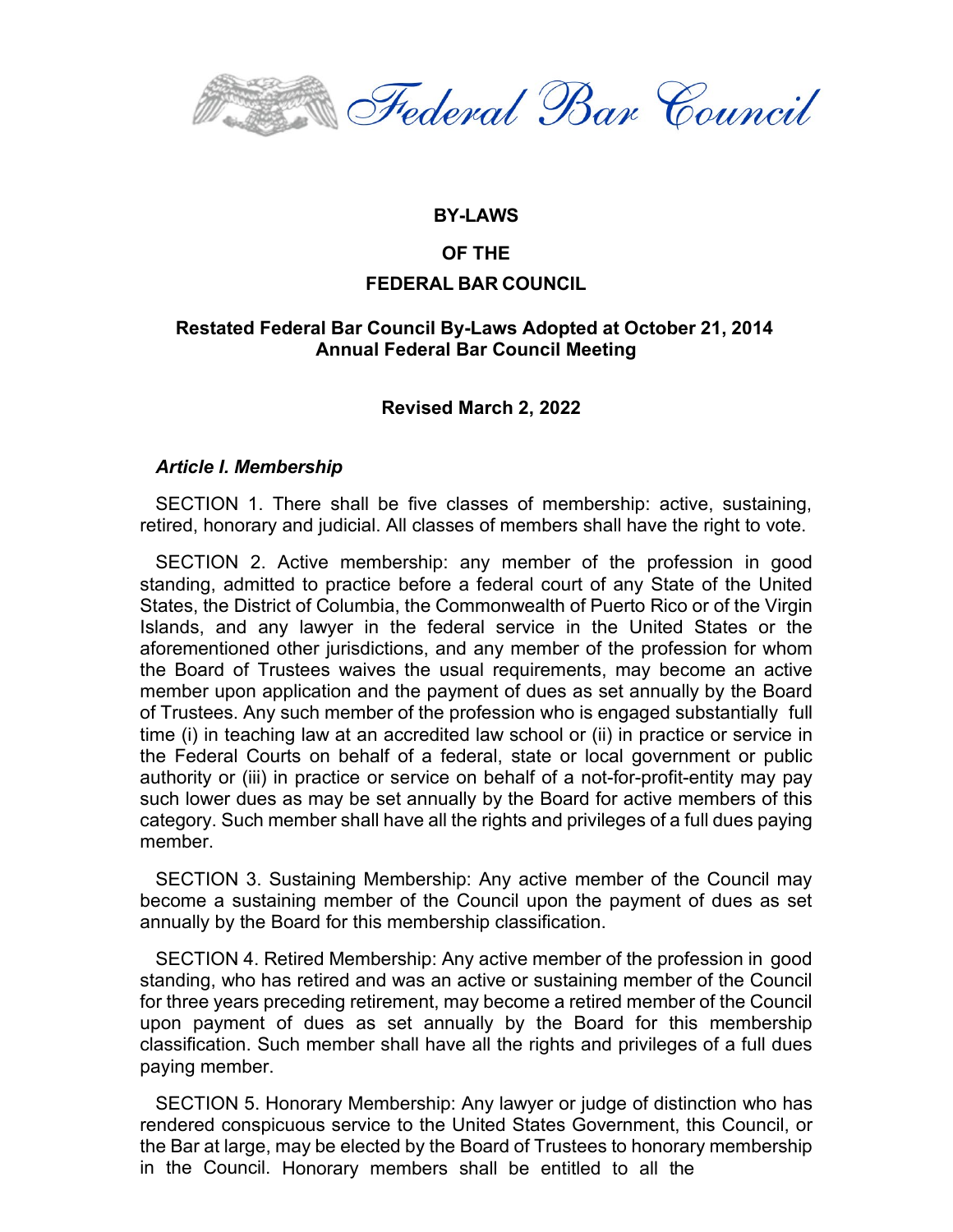Federal Bar Council

#### **BY-LAWS**

## **OF THE**

## **FEDERAL BAR COUNCIL**

# **Restated Federal Bar Council By-Laws Adopted at October 21, 2014 Annual Federal Bar Council Meeting**

# **Revised March 2, 2022**

#### *Article I. Membership*

SECTION 1. There shall be five classes of membership: active, sustaining, retired, honorary and judicial. All classes of members shall have the right to vote.

SECTION 2. Active membership: any member of the profession in good standing, admitted to practice before a federal court of any State of the United States, the District of Columbia, the Commonwealth of Puerto Rico or of the Virgin Islands, and any lawyer in the federal service in the United States or the aforementioned other jurisdictions, and any member of the profession for whom the Board of Trustees waives the usual requirements, may become an active member upon application and the payment of dues as set annually by the Board of Trustees. Any such member of the profession who is engaged substantially full time (i) in teaching law at an accredited law school or (ii) in practice or service in the Federal Courts on behalf of a federal, state or local government or public authority or (iii) in practice or service on behalf of a not-for-profit-entity may pay such lower dues as may be set annually by the Board for active members of this category. Such member shall have all the rights and privileges of a full dues paying member.

SECTION 3. Sustaining Membership: Any active member of the Council may become a sustaining member of the Council upon the payment of dues as set annually by the Board for this membership classification.

SECTION 4. Retired Membership: Any active member of the profession in good standing, who has retired and was an active or sustaining member of the Council for three years preceding retirement, may become a retired member of the Council upon payment of dues as set annually by the Board for this membership classification. Such member shall have all the rights and privileges of a full dues paying member.

SECTION 5. Honorary Membership: Any lawyer or judge of distinction who has rendered conspicuous service to the United States Government, this Council, or the Bar at large, may be elected by the Board of Trustees to honorary membership in the Council. Honorary members shall be entitled to all the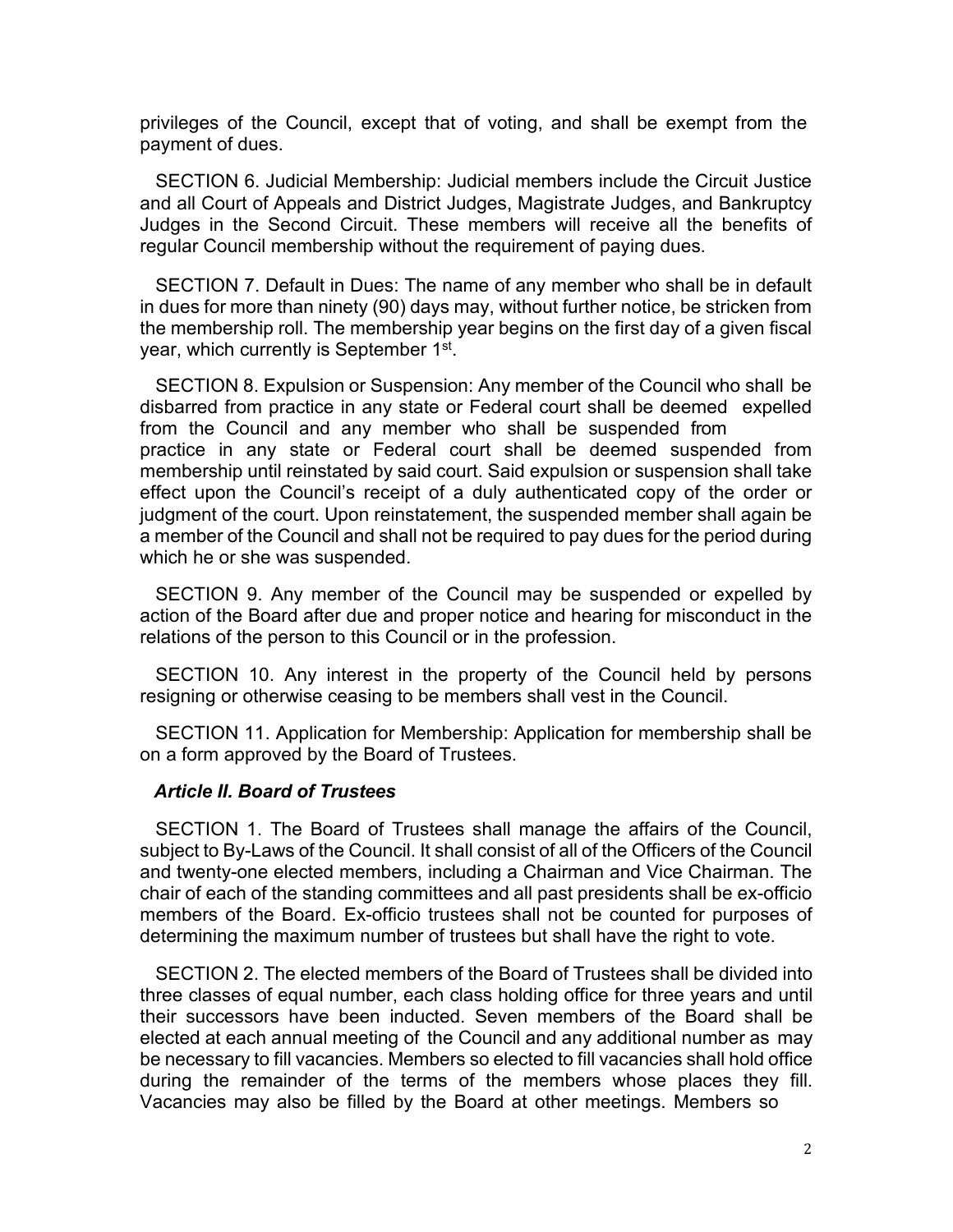privileges of the Council, except that of voting, and shall be exempt from the payment of dues.

SECTION 6. Judicial Membership: Judicial members include the Circuit Justice and all Court of Appeals and District Judges, Magistrate Judges, and Bankruptcy Judges in the Second Circuit. These members will receive all the benefits of regular Council membership without the requirement of paying dues.

SECTION 7. Default in Dues: The name of any member who shall be in default in dues for more than ninety (90) days may, without further notice, be stricken from the membership roll. The membership year begins on the first day of a given fiscal year, which currently is September 1<sup>st</sup>.

SECTION 8. Expulsion or Suspension: Any member of the Council who shall be disbarred from practice in any state or Federal court shall be deemed expelled from the Council and any member who shall be suspended from practice in any state or Federal court shall be deemed suspended from membership until reinstated by said court. Said expulsion or suspension shall take effect upon the Council's receipt of a duly authenticated copy of the order or judgment of the court. Upon reinstatement, the suspended member shall again be a member of the Council and shall not be required to pay dues for the period during which he or she was suspended.

SECTION 9. Any member of the Council may be suspended or expelled by action of the Board after due and proper notice and hearing for misconduct in the relations of the person to this Council or in the profession.

SECTION 10. Any interest in the property of the Council held by persons resigning or otherwise ceasing to be members shall vest in the Council.

SECTION 11. Application for Membership: Application for membership shall be on a form approved by the Board of Trustees.

#### *Article II. Board of Trustees*

SECTION 1. The Board of Trustees shall manage the affairs of the Council, subject to By-Laws of the Council. It shall consist of all of the Officers of the Council and twenty-one elected members, including a Chairman and Vice Chairman. The chair of each of the standing committees and all past presidents shall be ex-officio members of the Board. Ex-officio trustees shall not be counted for purposes of determining the maximum number of trustees but shall have the right to vote.

SECTION 2. The elected members of the Board of Trustees shall be divided into three classes of equal number, each class holding office for three years and until their successors have been inducted. Seven members of the Board shall be elected at each annual meeting of the Council and any additional number as may be necessary to fill vacancies. Members so elected to fill vacancies shall hold office during the remainder of the terms of the members whose places they fill. Vacancies may also be filled by the Board at other meetings. Members so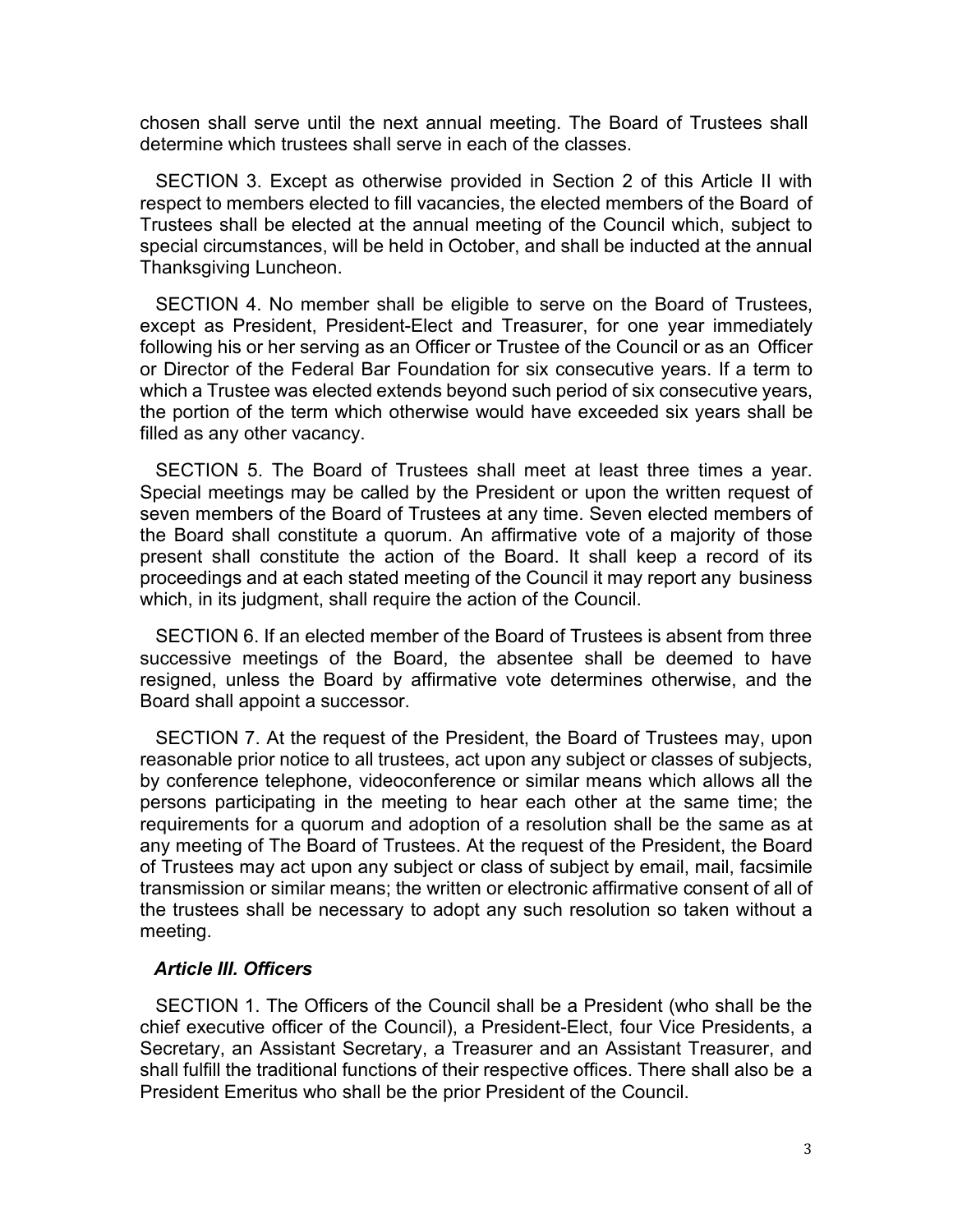chosen shall serve until the next annual meeting. The Board of Trustees shall determine which trustees shall serve in each of the classes.

SECTION 3. Except as otherwise provided in Section 2 of this Article II with respect to members elected to fill vacancies, the elected members of the Board of Trustees shall be elected at the annual meeting of the Council which, subject to special circumstances, will be held in October, and shall be inducted at the annual Thanksgiving Luncheon.

SECTION 4. No member shall be eligible to serve on the Board of Trustees, except as President, President-Elect and Treasurer, for one year immediately following his or her serving as an Officer or Trustee of the Council or as an Officer or Director of the Federal Bar Foundation for six consecutive years. If a term to which a Trustee was elected extends beyond such period of six consecutive years, the portion of the term which otherwise would have exceeded six years shall be filled as any other vacancy.

SECTION 5. The Board of Trustees shall meet at least three times a year. Special meetings may be called by the President or upon the written request of seven members of the Board of Trustees at any time. Seven elected members of the Board shall constitute a quorum. An affirmative vote of a majority of those present shall constitute the action of the Board. It shall keep a record of its proceedings and at each stated meeting of the Council it may report any business which, in its judgment, shall require the action of the Council.

SECTION 6. If an elected member of the Board of Trustees is absent from three successive meetings of the Board, the absentee shall be deemed to have resigned, unless the Board by affirmative vote determines otherwise, and the Board shall appoint a successor.

SECTION 7. At the request of the President, the Board of Trustees may, upon reasonable prior notice to all trustees, act upon any subject or classes of subjects, by conference telephone, videoconference or similar means which allows all the persons participating in the meeting to hear each other at the same time; the requirements for a quorum and adoption of a resolution shall be the same as at any meeting of The Board of Trustees. At the request of the President, the Board of Trustees may act upon any subject or class of subject by email, mail, facsimile transmission or similar means; the written or electronic affirmative consent of all of the trustees shall be necessary to adopt any such resolution so taken without a meeting.

#### *Article III. Officers*

SECTION 1. The Officers of the Council shall be a President (who shall be the chief executive officer of the Council), a President-Elect, four Vice Presidents, a Secretary, an Assistant Secretary, a Treasurer and an Assistant Treasurer, and shall fulfill the traditional functions of their respective offices. There shall also be a President Emeritus who shall be the prior President of the Council.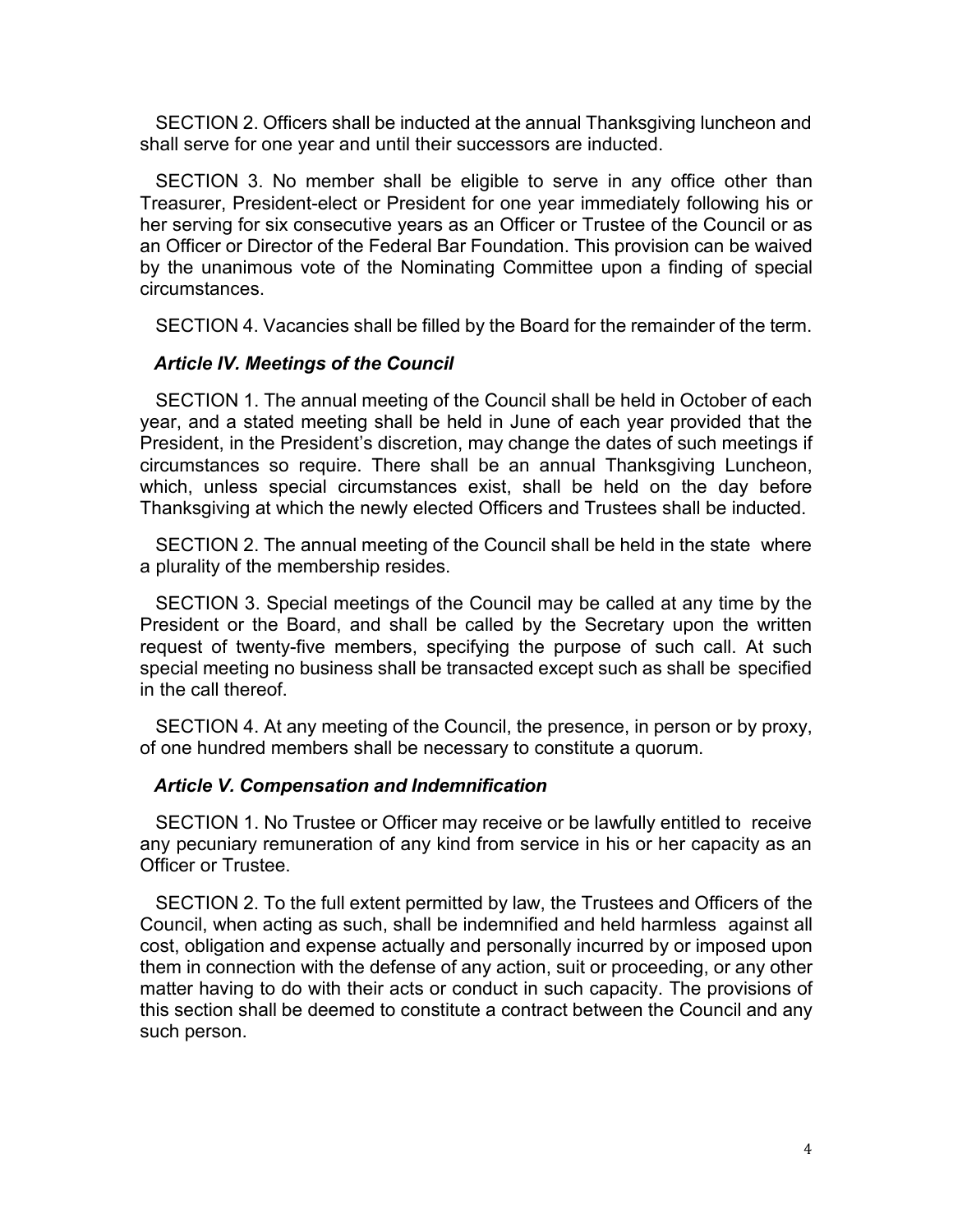SECTION 2. Officers shall be inducted at the annual Thanksgiving luncheon and shall serve for one year and until their successors are inducted.

SECTION 3. No member shall be eligible to serve in any office other than Treasurer, President-elect or President for one year immediately following his or her serving for six consecutive years as an Officer or Trustee of the Council or as an Officer or Director of the Federal Bar Foundation. This provision can be waived by the unanimous vote of the Nominating Committee upon a finding of special circumstances.

SECTION 4. Vacancies shall be filled by the Board for the remainder of the term.

#### *Article IV. Meetings of the Council*

SECTION 1. The annual meeting of the Council shall be held in October of each year, and a stated meeting shall be held in June of each year provided that the President, in the President's discretion, may change the dates of such meetings if circumstances so require. There shall be an annual Thanksgiving Luncheon, which, unless special circumstances exist, shall be held on the day before Thanksgiving at which the newly elected Officers and Trustees shall be inducted.

SECTION 2. The annual meeting of the Council shall be held in the state where a plurality of the membership resides.

SECTION 3. Special meetings of the Council may be called at any time by the President or the Board, and shall be called by the Secretary upon the written request of twenty-five members, specifying the purpose of such call. At such special meeting no business shall be transacted except such as shall be specified in the call thereof.

SECTION 4. At any meeting of the Council, the presence, in person or by proxy, of one hundred members shall be necessary to constitute a quorum.

#### *Article V. Compensation and Indemnification*

SECTION 1. No Trustee or Officer may receive or be lawfully entitled to receive any pecuniary remuneration of any kind from service in his or her capacity as an Officer or Trustee.

SECTION 2. To the full extent permitted by law, the Trustees and Officers of the Council, when acting as such, shall be indemnified and held harmless against all cost, obligation and expense actually and personally incurred by or imposed upon them in connection with the defense of any action, suit or proceeding, or any other matter having to do with their acts or conduct in such capacity. The provisions of this section shall be deemed to constitute a contract between the Council and any such person.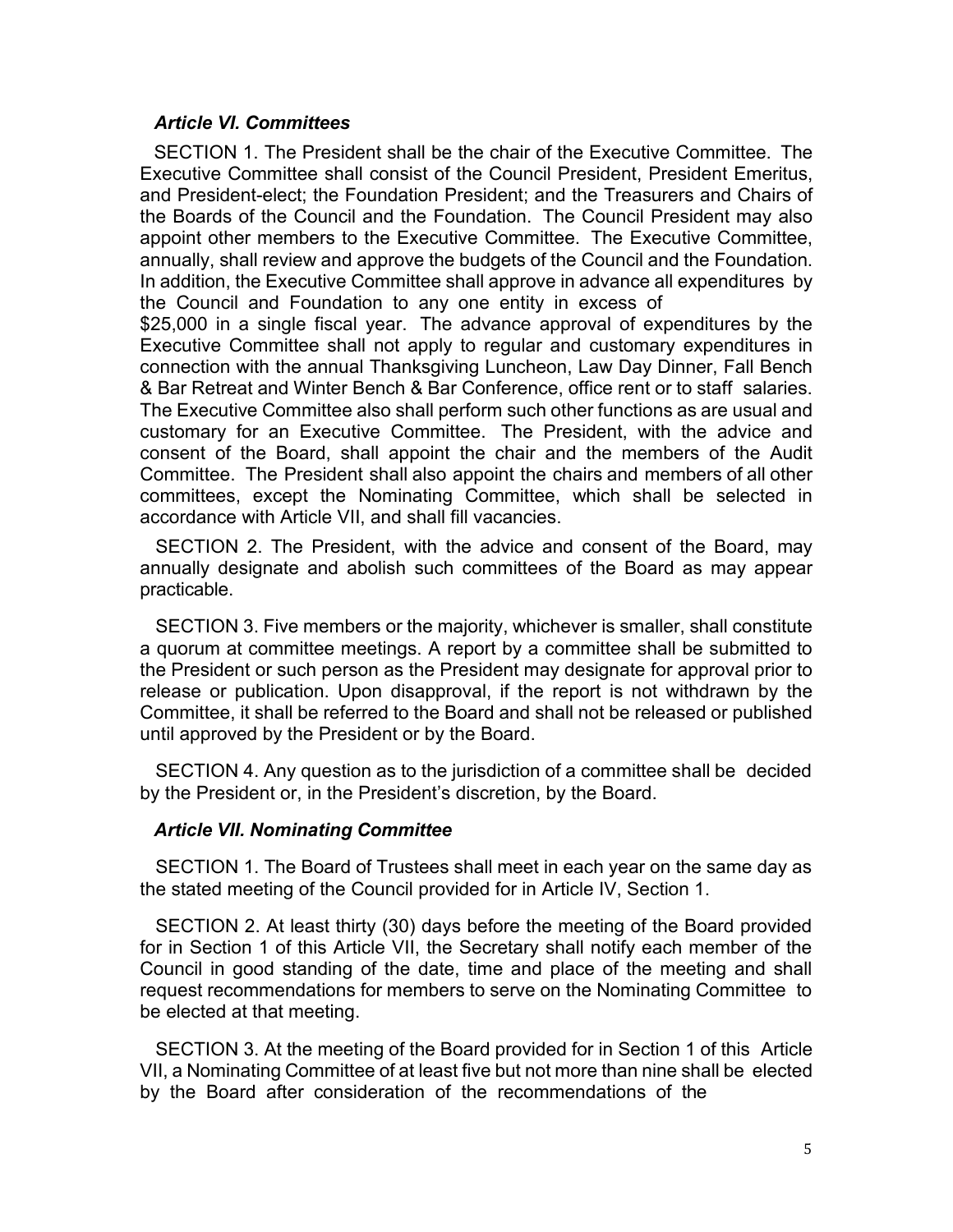## *Article VI. Committees*

SECTION 1. The President shall be the chair of the Executive Committee. The Executive Committee shall consist of the Council President, President Emeritus, and President-elect; the Foundation President; and the Treasurers and Chairs of the Boards of the Council and the Foundation. The Council President may also appoint other members to the Executive Committee. The Executive Committee, annually, shall review and approve the budgets of the Council and the Foundation. In addition, the Executive Committee shall approve in advance all expenditures by the Council and Foundation to any one entity in excess of

\$25,000 in a single fiscal year. The advance approval of expenditures by the Executive Committee shall not apply to regular and customary expenditures in connection with the annual Thanksgiving Luncheon, Law Day Dinner, Fall Bench & Bar Retreat and Winter Bench & Bar Conference, office rent or to staff salaries. The Executive Committee also shall perform such other functions as are usual and customary for an Executive Committee. The President, with the advice and consent of the Board, shall appoint the chair and the members of the Audit Committee. The President shall also appoint the chairs and members of all other committees, except the Nominating Committee, which shall be selected in accordance with Article VII, and shall fill vacancies.

SECTION 2. The President, with the advice and consent of the Board, may annually designate and abolish such committees of the Board as may appear practicable.

SECTION 3. Five members or the majority, whichever is smaller, shall constitute a quorum at committee meetings. A report by a committee shall be submitted to the President or such person as the President may designate for approval prior to release or publication. Upon disapproval, if the report is not withdrawn by the Committee, it shall be referred to the Board and shall not be released or published until approved by the President or by the Board.

SECTION 4. Any question as to the jurisdiction of a committee shall be decided by the President or, in the President's discretion, by the Board.

#### *Article VII. Nominating Committee*

SECTION 1. The Board of Trustees shall meet in each year on the same day as the stated meeting of the Council provided for in Article IV, Section 1.

SECTION 2. At least thirty (30) days before the meeting of the Board provided for in Section 1 of this Article VII, the Secretary shall notify each member of the Council in good standing of the date, time and place of the meeting and shall request recommendations for members to serve on the Nominating Committee to be elected at that meeting.

SECTION 3. At the meeting of the Board provided for in Section 1 of this Article VII, a Nominating Committee of at least five but not more than nine shall be elected by the Board after consideration of the recommendations of the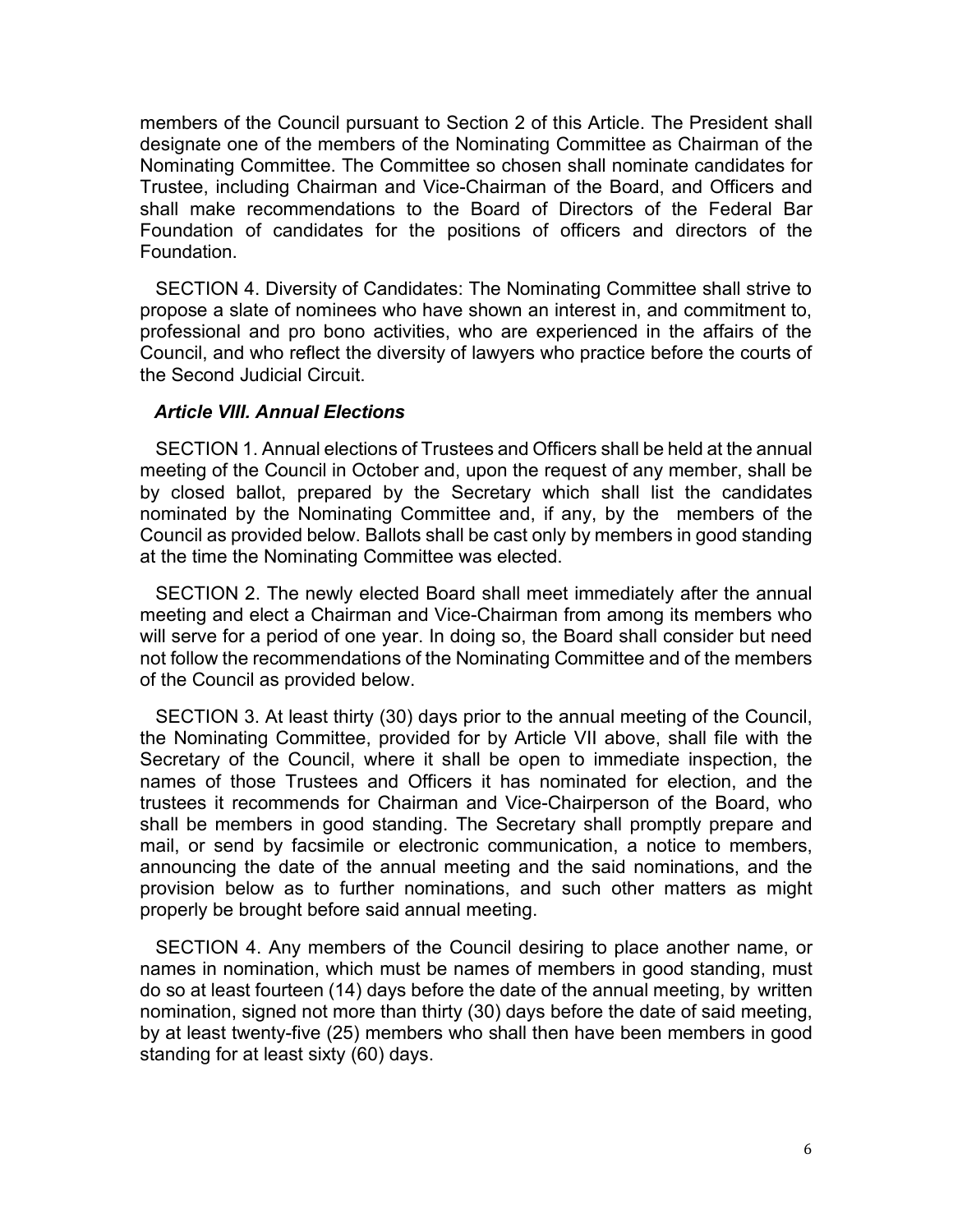members of the Council pursuant to Section 2 of this Article. The President shall designate one of the members of the Nominating Committee as Chairman of the Nominating Committee. The Committee so chosen shall nominate candidates for Trustee, including Chairman and Vice-Chairman of the Board, and Officers and shall make recommendations to the Board of Directors of the Federal Bar Foundation of candidates for the positions of officers and directors of the Foundation.

SECTION 4. Diversity of Candidates: The Nominating Committee shall strive to propose a slate of nominees who have shown an interest in, and commitment to, professional and pro bono activities, who are experienced in the affairs of the Council, and who reflect the diversity of lawyers who practice before the courts of the Second Judicial Circuit.

#### *Article VIII. Annual Elections*

SECTION 1. Annual elections of Trustees and Officers shall be held at the annual meeting of the Council in October and, upon the request of any member, shall be by closed ballot, prepared by the Secretary which shall list the candidates nominated by the Nominating Committee and, if any, by the members of the Council as provided below. Ballots shall be cast only by members in good standing at the time the Nominating Committee was elected.

SECTION 2. The newly elected Board shall meet immediately after the annual meeting and elect a Chairman and Vice-Chairman from among its members who will serve for a period of one year. In doing so, the Board shall consider but need not follow the recommendations of the Nominating Committee and of the members of the Council as provided below.

SECTION 3. At least thirty (30) days prior to the annual meeting of the Council, the Nominating Committee, provided for by Article VII above, shall file with the Secretary of the Council, where it shall be open to immediate inspection, the names of those Trustees and Officers it has nominated for election, and the trustees it recommends for Chairman and Vice-Chairperson of the Board, who shall be members in good standing. The Secretary shall promptly prepare and mail, or send by facsimile or electronic communication, a notice to members, announcing the date of the annual meeting and the said nominations, and the provision below as to further nominations, and such other matters as might properly be brought before said annual meeting.

SECTION 4. Any members of the Council desiring to place another name, or names in nomination, which must be names of members in good standing, must do so at least fourteen (14) days before the date of the annual meeting, by written nomination, signed not more than thirty (30) days before the date of said meeting, by at least twenty-five (25) members who shall then have been members in good standing for at least sixty (60) days.